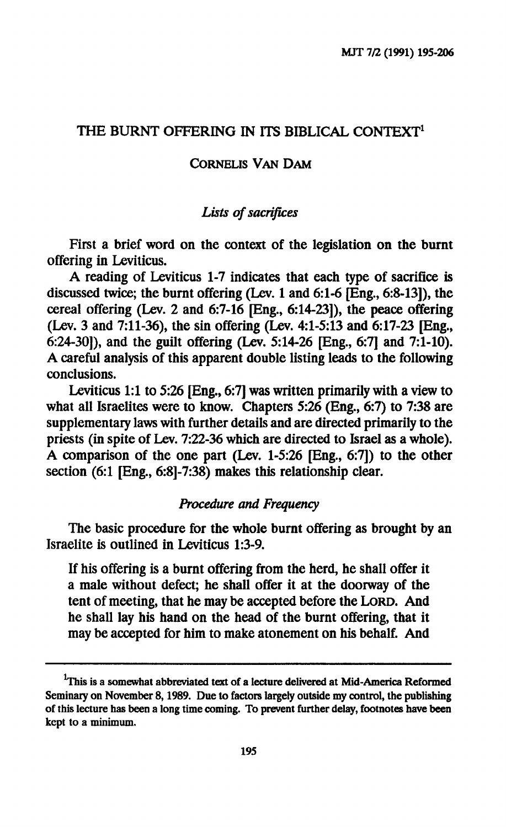## **THE BURNT OFFERING IN ITS BIBLICAL CONTEXT<sup>1</sup>**

#### **CORNELIS VAN DAM**

## *Lists of sacrifices*

**First a brief word on the context of the legislation on the burnt offering in Leviticus.** 

**A reading of Leviticus 1-7 indicates that each type of sacrifice is discussed twice; the burnt offering (Lev. 1 and 6:1-6 [Eng., 6:8-13]), the cereal offering (Lev. 2 and 6:7-16 [Eng., 6:14-23]), the peace offering (Lev. 3 and 7:11-36), the sin offering (Lev. 4:1-5:13 and 6:17-23 [Eng., 6:24-30]), and the guilt offering (Lev. 5:14-26 [Eng., 6:7] and 7:1-10). A careful analysis of this apparent double listing leads to the following conclusions.** 

**Leviticus 1:1 to 5:26 [Eng., 6:7] was written primarily with a view to what all Israelites were to know. Chapters 5:26 (Eng., 6:7) to 7:38 are supplementary laws with further details and are directed primarily to the priests (in spite of Lev. 7:22-36 which are directed to Israel as a whole). A comparison of the one part (Lev. 1-5:26 [Eng., 6:7]) to the other section (6:1 [Eng., 6:8]-7:38) makes this relationship clear.** 

#### *Procedure and Frequency*

**The basic procedure for the whole burnt offering as brought by an Israelite is outlined in Leviticus 1:3-9.** 

**If his offering is a burnt offering from the herd, he shall offer it a male without defect; he shall offer it at the doorway of the tent of meeting, that he may be accepted before the LORD. And he shall lay his hand on the head of the burnt offering, that it may be accepted for him to make atonement on his behalf. And** 

<sup>&</sup>lt;sup>1</sup>This is a somewhat abbreviated text of a lecture delivered at Mid-America Reformed **Seminary on November 8,1989. Due to factors largely outside my control, the publishing of this lecture has been a long time coming. To prevent further delay, footnotes have been kept to a minimum.**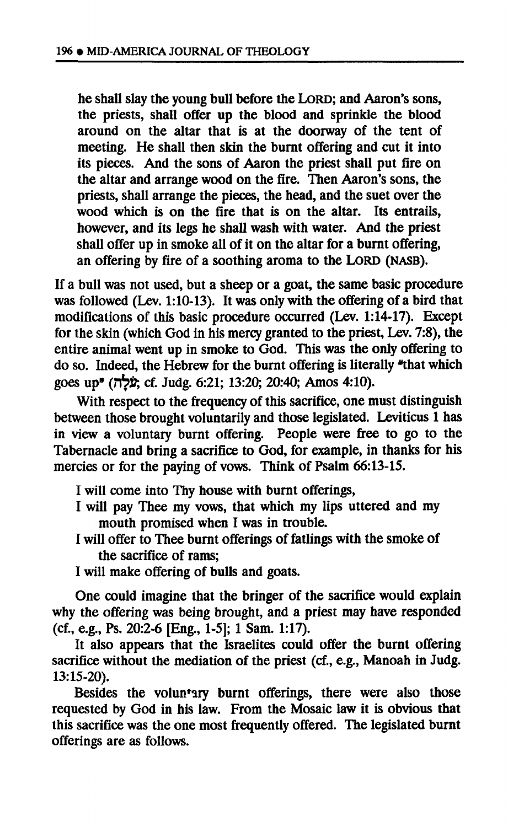**he shall slay the young bull before the LORD; and Aaron's sons, the priests, shall offer up the blood and sprinkle the blood around on the altar that is at the doorway of the tent of meeting. He shall then skin the burnt offering and cut it into its pieces. And the sons of Aaron the priest shall put fire on the altar and arrange wood on the fire. Then Aaron's sons, the priests, shall arrange the pieces, the head, and the suet over the wood which is on the fire that is on the altar. Its entrails, however, and its legs he shall wash with water. And the priest shall offer up in smoke all of it on the altar for a burnt offering, an offering by fire of a soothing aroma to the LORD (NASB).** 

**If a bull was not used, but a sheep or a goat, the same basic procedure was followed (Lev. 1:10-13). It was only with the offering of a bird that modifications of this basic procedure occurred (Lev. 1:14-17). Except for the skin (which God in his mercy granted to the priest, Lev. 7:8), the entire animal went up in smoke to God. This was the only offering to do so. Indeed, the Hebrew for the burnt offering is literally "that which goes up" (n^fr, cf. Judg. 6:21; 13:20; 20:40; Amos 4:10).** 

**With respect to the frequency of this sacrifice, one must distinguish between those brought voluntarily and those legislated. Leviticus 1 has in view a voluntary burnt offering. People were free to go to the Tabernacle and bring a sacrifice to God, for example, in thanks for his mercies or for the paying of vows. Think of Psalm 66:13-15.** 

- **I will come into Thy house with burnt offerings,**
- **I will pay Thee my vows, that which my lips uttered and my mouth promised when I was in trouble.**
- **I will offer to Thee burnt offerings of failings with the smoke of the sacrifice of rams;**
- **I will make offering of bulls and goats.**

**One could imagine that the bringer of the sacrifice would explain why the offering was being brought, and a priest may have responded (cf., e.g., Ps. 20:2-6 [Eng., 1-5]; 1 Sam. 1:17).** 

**It also appears that the Israelites could offer the burnt offering sacrifice without the mediation of the priest (cf., e.g., Manoah in Judg. 13:15-20).** 

**Besides the voluntary burnt offerings, there were also those requested by God in his law. From the Mosaic law it is obvious that this sacrifice was the one most frequently offered. The legislated burnt offerings are as follows.**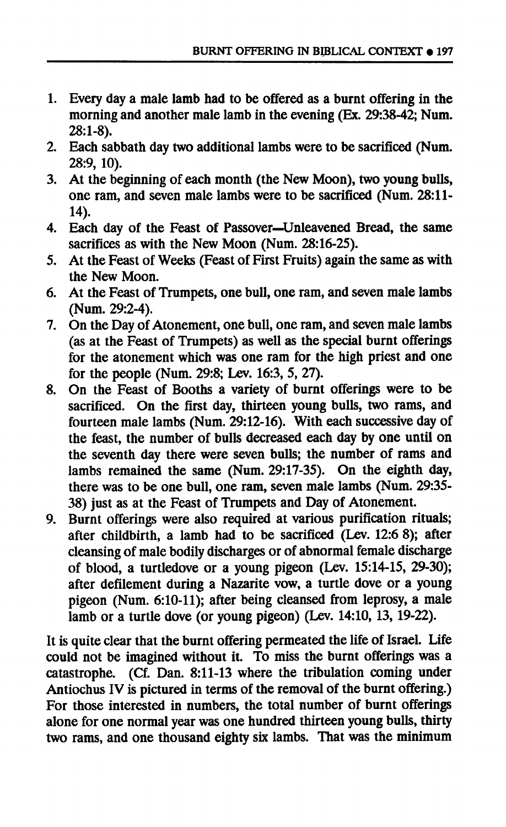- **1. Every day a male lamb had to be offered as a burnt offering in the morning and another male lamb in the evening (Ex. 29:38-42; Num. 28:1-8).**
- **2. Each sabbath day two additional lambs were to be sacrificed (Num. 28:9, 10).**
- **3. At the beginning of each month (the New Moon), two young bulls, one ram, and seven male lambs were to be sacrificed (Num. 28:11- 14).**
- **4. Each day of the Feast of Passover—Unleavened Bread, the same sacrifices as with the New Moon (Num. 28:16-25).**
- **5. At the Feast of Weeks (Feast of First Fruits) again the same as with the New Moon.**
- **6. At the Feast of Trumpets, one bull, one ram, and seven male lambs (Num. 29:2-4).**
- **7. On the Day of Atonement, one bull, one ram, and seven male lambs (as at the Feast of Trumpets) as well as the special burnt offerings for the atonement which was one ram for the high priest and one for the people (Num. 29:8; Lev. 16:3, 5, 27).**
- **8. On the Feast of Booths a variety of burnt offerings were to be sacrificed. On the first day, thirteen young bulls, two rams, and fourteen male lambs (Num. 29:12-16). With each successive day of the feast, the number of bulls decreased each day by one until on the seventh day there were seven bulls; the number of rams and lambs remained the same (Num. 29:17-35). On the eighth day, there was to be one bull, one ram, seven male lambs (Num. 29:35- 38) just as at the Feast of Trumpets and Day of Atonement.**
- **9. Burnt offerings were also required at various purification rituals; after childbirth, a lamb had to be sacrificed (Lev. 12:6 8); after cleansing of male bodily discharges or of abnormal female discharge of blood, a turtledove or a young pigeon (Lev. 15:14-15, 29-30); after defilement during a Nazarite vow, a turtle dove or a young pigeon (Num. 6:10-11); after being cleansed from leprosy, a male lamb or a turtle dove (or young pigeon) (Lev. 14:10, 13, 19-22).**

**It is quite clear that the burnt offering permeated the life of Israel. Life could not be imagined without it. To miss the burnt offerings was a catastrophe. (Cf. Dan. 8:11-13 where the tribulation coming under Antiochus IV is pictured in terms of the removal of the burnt offering.) For those interested in numbers, the total number of burnt offerings alone for one normal year was one hundred thirteen young bulls, thirty two rams, and one thousand eighty six lambs. That was the minimum**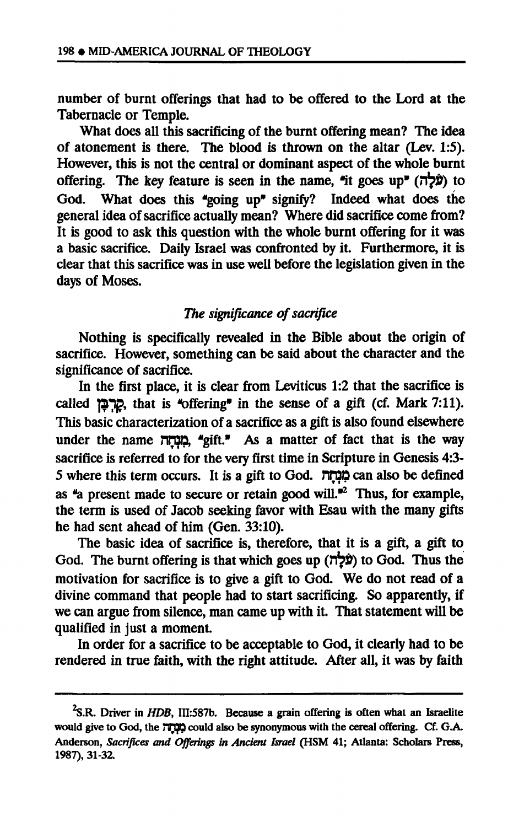**number of burnt offerings that had to be offered to the Lord at the Tabernacle or Temple.** 

**What does all this sacrificing of the burnt offering mean? The idea of atonement is there. The blood is thrown on the altar (Lev. 1:5). However, this is not the central or dominant aspect of the whole burnt offering. The key feature is seen in the name, It goes up"** *(TOO)* **to God. What does this \*going up" signify? Indeed what does the general idea of sacrifice actually mean? Where did sacrifice come from? It is good to ask this question with the whole burnt offering for it was a basic sacrifice. Daily Israel was confronted by it. Furthermore, it is clear that this sacrifice was in use well before the legislation given in the days of Moses.** 

# *The significance of sacrifice*

**Nothing is specifically revealed in the Bible about the origin of sacrifice. However, something can be said about the character and the significance of sacrifice.** 

**In the first place, it is clear from Leviticus 1:2 that the sacrifice is called |2Π£, that is ^offering" in the sense of a gift (cf. Mark 7:11). This basic characterization of a sacrifice as a gift is also found elsewhere**  under the name **חַנְחָה**, "gift." As a matter of fact that is the way **sacrifice is referred to for the very first time in Scripture in Genesis 4:3- 5 where this term occurs. It is a gift to God. ¡TDD can also be defined as \*a present made to secure or retain good will."<sup>2</sup> Thus, for example, the term is used of Jacob seeking favor with Esau with the many gifts he had sent ahead of him (Gen. 33:10).** 

**The basic idea of sacrifice is, therefore, that it is a gift, a gift to God. The burnt offering is that which goes up** *(Tbfy* **to God. Thus the motivation for sacrifice is to give a gift to God. We do not read of a divine command that people had to start sacrificing. So apparently, if we can argue from silence, man came up with it. That statement will be qualified in just a moment.** 

**In order for a sacrifice to be acceptable to God, it clearly had to be rendered in true faith, with the right attitude. After all, it was by faith** 

**<sup>^.</sup>R. Driver in** *HDB,* **III:587b. Because a grain offering is often what an Israelite would give to God, the ΠΠ3Ρ could also be synonymous with the cereal offering. Cf. G.A. Anderson,** *Sacrifices and Offerings in Ancient Israel* **(HSM 41; Atlanta: Scholars Press, 1987), 31-32.**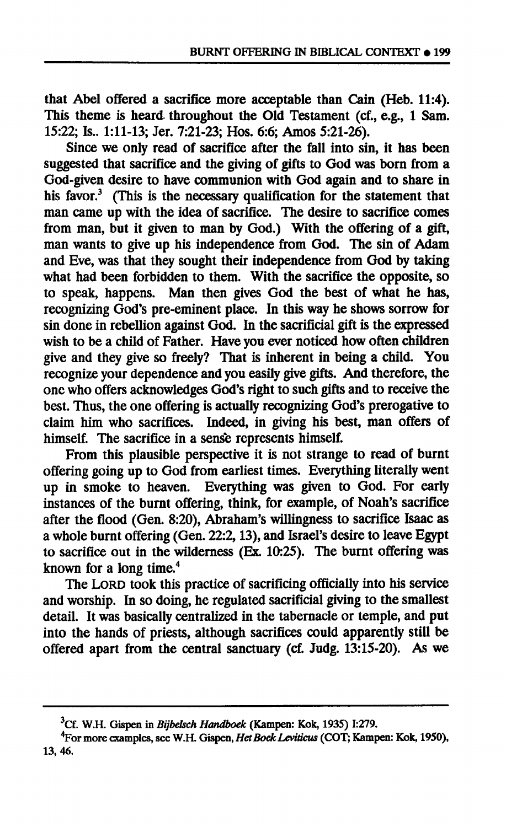**that Abel offered a sacrifice more acceptable than Cain (Heb. 11:4). This theme is heard throughout the Old Testament (cf., e.g., 1 Sam. 15:22; Is.. 1:11-13; Jer. 7:21-23; Hos. 6:6; Amos 5:21-26).** 

**Since we only read of sacrifice after the fall into sin, it has been suggested that sacrifice and the giving of gifts to God was born from a God-given desire to have communion with God again and to share in his favor.<sup>3</sup> (This is the necessary qualification for the statement that man came up with the idea of sacrifice. The desire to sacrifice comes from man, but it given to man by God.) With the offering of a gift, man wants to give up his independence from God. The sin of Adam and Eve, was that they sought their independence from God by taking what had been forbidden to them. With the sacrifice the opposite, so to speak, happens. Man then gives God the best of what he has, recognizing God's pre-eminent place. In this way he shows sorrow for sin done in rebellion against God. In the sacrificial gift is the expressed wish to be a child of Father. Have you ever noticed how often children give and they give so freely? That is inherent in being a child. You recognize your dependence and you easily give gifts. And therefore, the one who offers acknowledges God's right to such gifts and to receive the best. Thus, the one offering is actually recognizing God's prerogative to claim him who sacrifices. Indeed, in giving his best, man offers of himself. The sacrifice in a sense represents himself.** 

**From this plausible perspective it is not strange to read of burnt offering going up to God from earliest times. Everything literally went up in smoke to heaven. Everything was given to God. For early instances of the burnt offering, think, for example, of Noah's sacrifice after the flood (Gen. 8:20), Abraham's willingness to sacrifice Isaac as a whole burnt offering (Gen. 22:2,13), and Israel's desire to leave Egypt to sacrifice out in the wilderness (Ex. 10:25). The burnt offering was known for a long time.<sup>4</sup>**

**The LORD took this practice of sacrificing officially into his service and worship. In so doing, he regulated sacrificial giving to the smallest detail. It was basically centralized in the tabernacle or temple, and put into the hands of priests, although sacrifices could apparently still be offered apart from the central sanctuary (cf. Judg. 13:15-20). As we** 

**<sup>3</sup>Cf. W.H. Gispen in** *Bijbelsch Handboek* **(Kampen: Kok, 1935) 1:279.** 

**<sup>4</sup>For more examples, see W.H. Gispen,** *Het Boek Leviticus* **(COT; Kampen: Kok, 1950), 13,46.**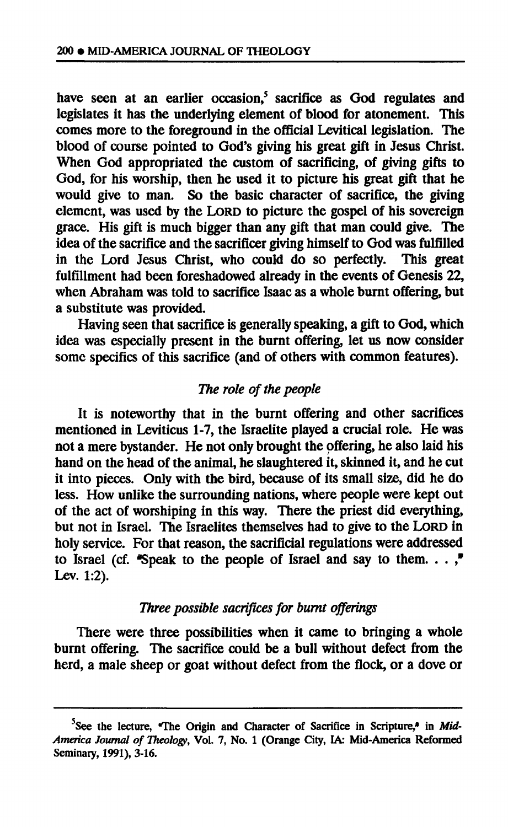**have seen at an earlier occasion,<sup>5</sup> sacrifice as God regulates and legislates it has the underlying element of blood for atonement. This comes more to the foreground in the official Levitical legislation. The blood of course pointed to God's giving his great gift in Jesus Christ. When God appropriated the custom of sacrificing, of giving gifts to God, for his worship, then he used it to picture his great gift that he would give to man. So the basic character of sacrifice, the giving element, was used by the LORD to picture the gospel of his sovereign grace. His gift is much bigger than any gift that man could give. The idea of the sacrifice and the sacrificer giving himself to God was fulfilled in the Lord Jesus Christ, who could do so perfectly. This great fulfillment had been foreshadowed already in the events of Genesis 22, when Abraham was told to sacrifice Isaac as a whole burnt offering, but a substitute was provided.** 

**Having seen that sacrifice is generally speaking, a gift to God, which idea was especially present in the burnt offering, let us now consider some specifics of this sacrifice (and of others with common features).** 

## *The role of the people*

**It is noteworthy that in the burnt offering and other sacrifices mentioned in Leviticus 1-7, the Israelite played a crucial role. He was not a mere bystander. He not only brought the offering, he also laid his hand on the head of the animal, he slaughtered it, skinned it, and he cut it into pieces. Only with the bird, because of its small size, did he do less. How unlike the surrounding nations, where people were kept out of the act of worshiping in this way. There the priest did everything, but not in Israel. The Israelites themselves had to give to the LORD in holy service. For that reason, the sacrificial regulations were addressed to Israel (cf. "Speak to the people of Israel and say to them. . .** *\**  **Lev. 1:2).** 

## *Three possible sacrifices for burnt offerings*

**There were three possibilities when it came to bringing a whole burnt offering. The sacrifice could be a bull without defect from the herd, a male sheep or goat without defect from the flock, or a dove or** 

<sup>&</sup>lt;sup>5</sup>See the lecture, 'The Origin and Character of Sacrifice in Scripture,' in Mid-*America Journal of Theology,* **Vol. 7, No. 1 (Orange City, IA: Mid-America Reformed Seminary, 1991), 3-16.**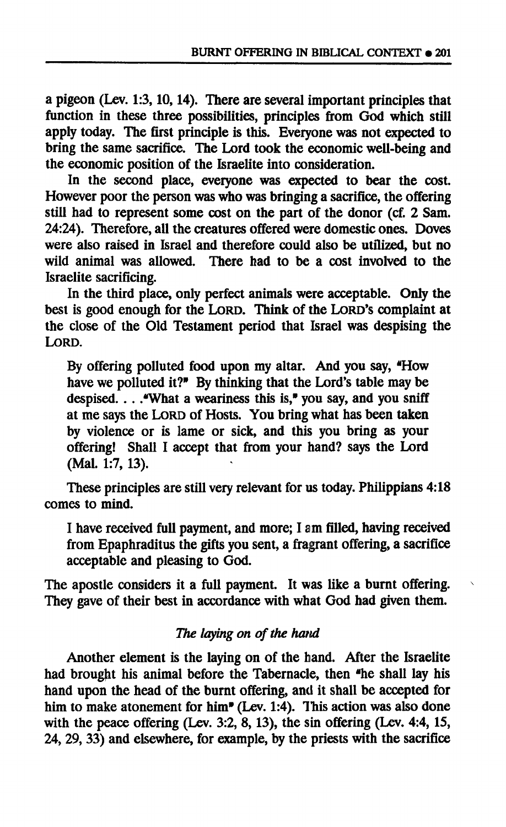**a pigeon (Lev. 1:3,10,14). There are several important principles that function in these three possibilities, principles from God which still apply today. The first principle is this. Everyone was not expected to bring the same sacrifice. The Lord took the economic well-being and the economic position of the Israelite into consideration.** 

**In the second place, everyone was expected to bear the cost. However poor the person was who was bringing a sacrifice, the offering still had to represent some cost on the part of the donor (cf. 2 Sam. 24:24). Therefore, all the creatures offered were domestic ones. Doves were also raised in Israel and therefore could also be utilized, but no wild animal was allowed. There had to be a cost involved to the Israelite sacrificing.** 

**In the third place, only perfect animals were acceptable. Only the best is good enough for the LORD. Think of the LORD'S complaint at the close of the Old Testament period that Israel was despising the LORD.** 

**By offering polluted food upon my altar. And you say, \*How have we polluted it?" By thinking that the Lord's table may be despised. . . .'What a weariness this is," you say, and you sniff at me says the LORD of Hosts. You bring what has been taken by violence or is lame or sick, and this you bring as your offering! Shall I accept that from your hand? says the Lord (Mai. 1:7, 13).** 

**These principles are still very relevant for us today. Philippians 4:18 comes to mind.** 

**I have received full payment, and more; I am filled, having received from Epaphraditus the gifts you sent, a fragrant offering, a sacrifice acceptable and pleasing to God.** 

**The apostle considers it a full payment. It was like a burnt offering. They gave of their best in accordance with what God had given them.** 

## *The laying on of the haM*

**Another element is the laying on of the hand. After the Israelite had brought his animal before the Tabernacle, then "he shall lay his hand upon the head of the burnt offering, and it shall be accepted for**  him to make atonement for him<sup>"</sup> (Lev. 1:4). This action was also done **with the peace offering (Lev. 3:2, 8,13), the sin offering (Lev. 4:4, 15, 24, 29, 33) and elsewhere, for example, by the priests with the sacrifice**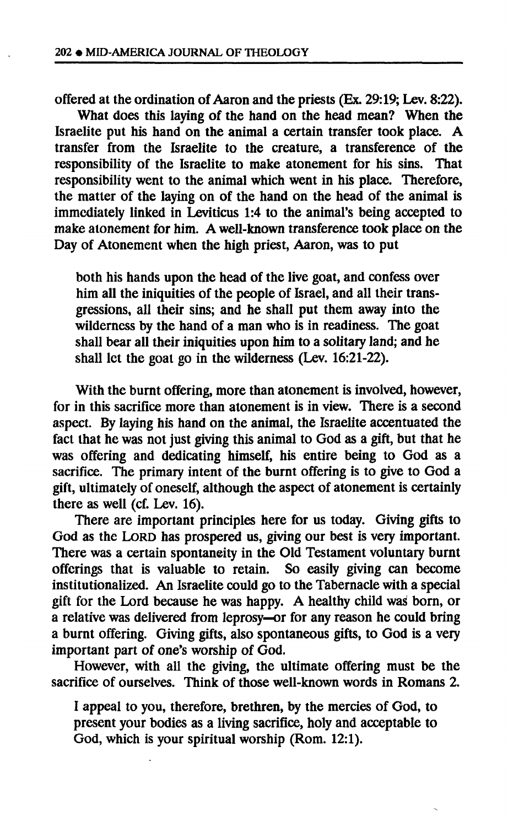**offered at the ordination of Aaron and the priests (Ex. 29:19; Lev. 8:22).** 

What does this laying of the hand on the head mean? When the **Israelite put his hand on the animal a certain transfer took place. A transfer from the Israelite to the creature, a transference of the responsibility of the Israelite to make atonement for his sins. That responsibility went to the animal which went in his place. Therefore, the matter of the laying on of the hand on the head of the animal is immediately linked in Leviticus 1:4 to the animal's being accepted to make atonement for him. A well-known transference took place on the Day of Atonement when the high priest, Aaron, was to put** 

**both his hands upon the head of the live goat, and confess over him all the iniquities of the people of Israel, and all their transgressions, all their sins; and he shall put them away into the wilderness by the hand of a man who is in readiness. The goat shall bear all their iniquities upon him to a solitary land; and he shall let the goat go in the wilderness (Lev. 16:21-22).** 

**With the burnt offering, more than atonement is involved, however, for in this sacrifice more than atonement is in view. There is a second aspect. By laying his hand on the animal, the Israelite accentuated the fact that he was not just giving this animal to God as a gift, but that he was offering and dedicating himself, his entire being to God as a sacrifice. The primary intent of the burnt offering is to give to God a gift, ultimately of oneself, although the aspect of atonement is certainly there as well (cf. Lev. 16).** 

**There are important principles here for us today. Giving gifts to God as the LORD has prospered us, giving our best is very important. There was a certain spontaneity in the Old Testament voluntary burnt offerings that is valuable to retain. So easily giving can become institutionalized. An Israelite could go to the Tabernacle with a special gift for the Lord because he was happy. A healthy child waá born, or a relative was delivered from leprosy—or for any reason he could bring a burnt offering. Giving gifts, also spontaneous gifts, to God is a very important part of one's worship of God.** 

**However, with all the giving, the ultimate offering must be the sacrifice of ourselves. Think of those well-known words in Romans 2.** 

**I appeal to you, therefore, brethren, by the mercies of God, to present your bodies as a living sacrifice, holy and acceptable to God, which is your spiritual worship (Rom. 12:1).**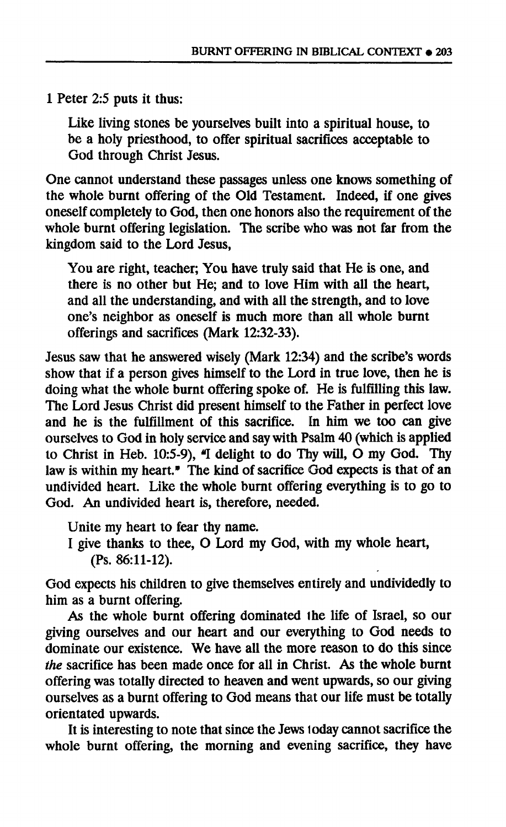**1 Peter 2:5 puts it thus:** 

**Like living stones be yourselves built into a spiritual house, to be a holy priesthood, to offer spiritual sacrifices acceptable to God through Christ Jesus.** 

**One cannot understand these passages unless one knows something of the whole burnt offering of the Old Testament. Indeed, if one gives oneself completely to God, then one honors also the requirement of the whole burnt offering legislation. The scribe who was not far from the kingdom said to the Lord Jesus,** 

**You are right, teacher; You have truly said that He is one, and there is no other but He; and to love Him with all the heart, and all the understanding, and with all the strength, and to love one's neighbor as oneself is much more than all whole burnt offerings and sacrifices (Mark 12:32-33).** 

**Jesus saw that he answered wisely (Mark 12:34) and the scribe's words show that if a person gives himself to the Lord in true love, then he is doing what the whole burnt offering spoke of. He is fulfilling this law. The Lord Jesus Christ did present himself to the Father in perfect love and he is the fulfillment of this sacrifice. In him we too can give ourselves to God in holy service and say with Psalm 40 (which is applied**  to Christ in Heb. 10:5-9),  $\mathbf{I}$  delight to do Thy will,  $\dot{\mathbf{O}}$  my God. Thy law is within my heart." The kind of sacrifice God expects is that of an **undivided heart. Like the whole burnt offering everything is to go to God. An undivided heart is, therefore, needed.** 

**Unite my heart to fear thy name.** 

**I give thanks to thee, O Lord my God, with my whole heart, (Ps. 86:11-12).** 

**God expects his children to give themselves entirely and undividedly to him as a burnt offering.** 

**As the whole burnt offering dominated the life of Israel, so our giving ourselves and our heart and our everything to God needs to dominate our existence. We have all the more reason to do this since**  *the* **sacrifice has been made once for all in Christ. As the whole burnt offering was totally directed to heaven and went upwards, so our giving ourselves as a burnt offering to God means that our life must be totally orientated upwards.** 

**It is interesting to note that since the Jews loday cannot sacrifice the whole burnt offering, the morning and evening sacrifice, they have**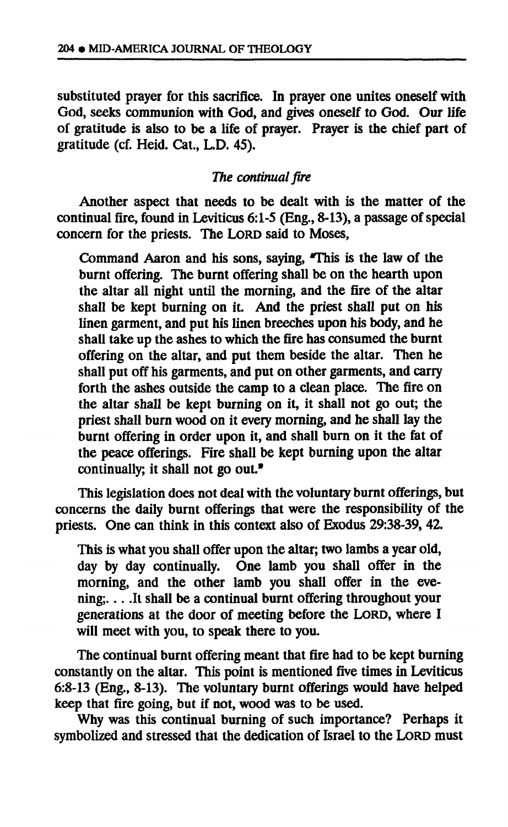**substituted prayer for this sacrifice. In prayer one unites oneself with God, seeks communion with God, and gives oneself to God. Our life of gratitude is also to be a life of prayer. Prayer is the chief part of gratitude (cf. Heid. Cat., L.D. 45).** 

# *The continual fire*

**Another aspect that needs to be dealt with is the matter of the continual fire, found in Leviticus 6:1-5 (Eng., 8-13), a passage of special concern for the priests. The LORD said to Moses,** 

**Command Aaron and his sons, saying, TTiis is the law of the burnt offering. The burnt offering shall be on the hearth upon the altar all night until the morning, and the fire of the altar shall be kept burning on it. And the priest shall put on his linen garment, and put his linen breeches upon his body, and he shall take up the ashes to which the fire has consumed the burnt offering on the altar, and put them beside the altar. Then he shall put off his garments, and put on other garments, and carry forth the ashes outside the camp to a clean place. The fire on the altar shall be kept burning on it, it shall not go out; the priest shall burn wood on it every morning, and he shall lay the burnt offering in order upon it, and shall burn on it the fat of the peace offerings. Fire shall be kept burning upon the altar**  continually; it shall not go out.<sup>•</sup>

**This legislation does not deal with the voluntary burnt offerings, but concerns the daily burnt offerings that were the responsibility of the priests. One can think in this context also of Exodus 29:38-39, 42.** 

**This is what you shall offer upon the altar; two lambs a year old, day by day continually. One lamb you shall offer in the morning, and the other lamb you shall offer in the evening; It shall be a continual burnt offering throughout your generations at the door of meeting before the LORD, where I will meet with you, to speak there to you.** 

**The continual burnt offering meant that fire had to be kept burning constantly on the altar. This point is mentioned five times in Leviticus 6:8-13 (Eng., 8-13). The voluntary burnt offerings would have helped keep that fire going, but if not, wood was to be used.** 

**Why was this continual burning of such importance? Perhaps it symbolized and stressed that the dedication of Israel to the LORD must**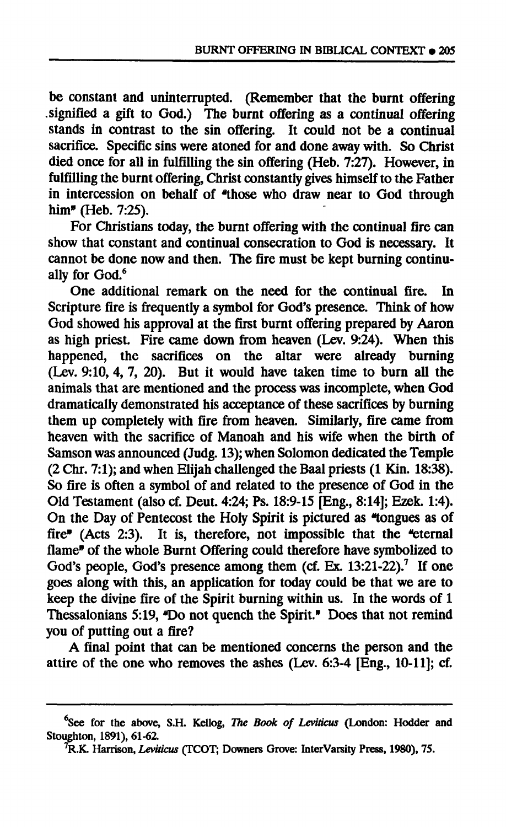**be constant and uninterrupted. (Remember that the burnt offering .signified a gift to God.) The burnt offering as a continual offering stands in contrast to the sin offering. It could not be a continual sacrifice. Specific sins were atoned for and done away with. So Christ died once for all in fulfilling the sin offering (Heb. 7:27). However, in fulfilling the burnt offering, Christ constantly gives himself to the Father**  in intercession on behalf of "those who draw near to God through **him" (Heb. 7:25).** 

**For Christians today, the burnt offering with the continual fire can show that constant and continual consecration to God is necessary. It cannot be done now and then. The fire must be kept burning continually for God.<sup>6</sup>**

**One additional remark on the need for the continual fire. In Scripture fire is frequently a symbol for God's presence. Think of how God showed his approval at the first burnt offering prepared by Aaron as high priest. Fire came down from heaven (Lev. 9:24). When this happened, the sacrifices on the altar were already burning (Lev. 9:10, 4, 7, 20). But it would have taken time to burn all the animals that are mentioned and the process was incomplete, when God dramatically demonstrated his acceptance of these sacrifices by burning them up completely with fire from heaven. Similarly, fire came from heaven with the sacrifice of Manoah and his wife when the birth of Samson was announced (Judg. 13); when Solomon dedicated the Temple (2 Chr. 7:1); and when Elijah challenged the Baal priests (1 Kin. 18:38). So fire is often a symbol of and related to the presence of God in the Old Testament (also cf. Deut. 4:24; Ps. 18:9-15 [Eng., 8:14]; Ezek. 1:4). On the Day of Pentecost the Holy Spirit is pictured as ñongues as of fire" (Acts 2:3). It is, therefore, not impossible that the ^eternal flame" of the whole Burnt Offering could therefore have symbolized to**  God's people, God's presence among them  $(ct. Ex. 13:21-22).$ <sup>7</sup> If one **goes along with this, an application for today could be that we are to keep the divine fire of the Spirit burning within us. In the words of 1 Thessalonians 5:19, "Do not quench the Spirit." Does that not remind you of putting out a fire?** 

**A final point that can be mentioned concerns the person and the attire of the one who removes the ashes (Lev. 6:3-4 [Eng., 10-11]; cf.** 

**See for the above, S.H. Kellog,** *The Book of Leviticus* **(London: Hodder and Stoughton, 1891), 61-62.** 

**<sup>7</sup>R.K. Harrison,** *Leviticus* **(TCOT; Downers Grove: InterVarsity Press, 1980), 75.**